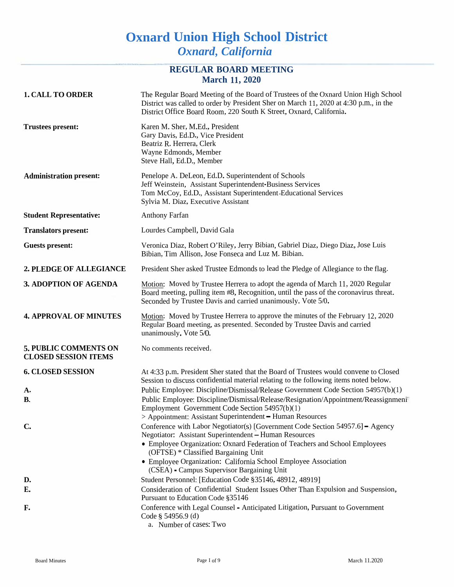# **Oxnard Union High School District** *Oxnard, California*

## **REGULAR BOARD MEETING March 11, 2020**

| <b>1. CALL TO ORDER</b>                                     | The Regular Board Meeting of the Board of Trustees of the Oxnard Union High School<br>District was called to order by President Sher on March 11, 2020 at 4:30 p.m., in the<br>District Office Board Room, 220 South K Street, Oxnard, California.                                                                                                                               |
|-------------------------------------------------------------|----------------------------------------------------------------------------------------------------------------------------------------------------------------------------------------------------------------------------------------------------------------------------------------------------------------------------------------------------------------------------------|
| <b>Trustees present:</b>                                    | Karen M. Sher, M.Ed., President<br>Gary Davis, Ed.D., Vice President<br>Beatriz R. Herrera, Clerk<br>Wayne Edmonds, Member<br>Steve Hall, Ed.D., Member                                                                                                                                                                                                                          |
| <b>Administration present:</b>                              | Penelope A. DeLeon, Ed.D. Superintendent of Schools<br>Jeff Weinstein, Assistant Superintendent-Business Services<br>Tom McCoy, Ed.D., Assistant Superintendent-Educational Services<br>Sylvia M. Diaz, Executive Assistant                                                                                                                                                      |
| <b>Student Representative:</b>                              | <b>Anthony Farfan</b>                                                                                                                                                                                                                                                                                                                                                            |
| <b>Translators present:</b>                                 | Lourdes Campbell, David Gala                                                                                                                                                                                                                                                                                                                                                     |
| <b>Guests present:</b>                                      | Veronica Diaz, Robert O'Riley, Jerry Bibian, Gabriel Diaz, Diego Diaz, Jose Luis<br>Bibian, Tim Allison, Jose Fonseca and Luz M. Bibian.                                                                                                                                                                                                                                         |
| 2. PLEDGE OF ALLEGIANCE                                     | President Sher asked Trustee Edmonds to lead the Pledge of Allegiance to the flag.                                                                                                                                                                                                                                                                                               |
| <b>3. ADOPTION OF AGENDA</b>                                | Motion: Moved by Trustee Herrera to adopt the agenda of March 11, 2020 Regular<br>Board meeting, pulling item #8, Recognition, until the pass of the coronavirus threat.<br>Seconded by Trustee Davis and carried unanimously. Vote 5/0.                                                                                                                                         |
| <b>4. APPROVAL OF MINUTES</b>                               | Motion: Moved by Trustee Herrera to approve the minutes of the February 12, 2020<br>Regular Board meeting, as presented. Seconded by Trustee Davis and carried<br>unanimously. Vote 5/0.                                                                                                                                                                                         |
| <b>5. PUBLIC COMMENTS ON</b><br><b>CLOSED SESSION ITEMS</b> | No comments received,                                                                                                                                                                                                                                                                                                                                                            |
| <b>6. CLOSED SESSION</b>                                    | At 4:33 p.m. President Sher stated that the Board of Trustees would convene to Closed<br>Session to discuss confidential material relating to the following items noted below.                                                                                                                                                                                                   |
| A.<br><b>B.</b>                                             | Public Employee: Discipline/Dismissal/Release Government Code Section 54957(b)(1)<br>Public Employee: Discipline/Dismissal/Release/Resignation/Appointment/Reassignmeni <sup>1</sup><br>Employment Government Code Section 54957(b)(1)<br>> Appointment: Assistant Superintendent - Human Resources                                                                              |
| $\mathbf{C}$                                                | Conference with Labor Negotiator(s) [Government Code Section 54957.6] - Agency<br>Negotiator: Assistant Superintendent - Human Resources<br>• Employee Organization: Oxnard Federation of Teachers and School Employees<br>(OFTSE) * Classified Bargaining Unit<br>• Employee Organization: California School Employee Association<br>(CSEA) - Campus Supervisor Bargaining Unit |
| D.                                                          | Student Personnel: [Education Code §35146, 48912, 48919]                                                                                                                                                                                                                                                                                                                         |
| Е.                                                          | Consideration of Confidential Student Issues Other Than Expulsion and Suspension,<br>Pursuant to Education Code §35146                                                                                                                                                                                                                                                           |
| F.                                                          | Conference with Legal Counsel - Anticipated Litigation, Pursuant to Government<br>Code § 54956.9 (d)<br>a. Number of cases: Two                                                                                                                                                                                                                                                  |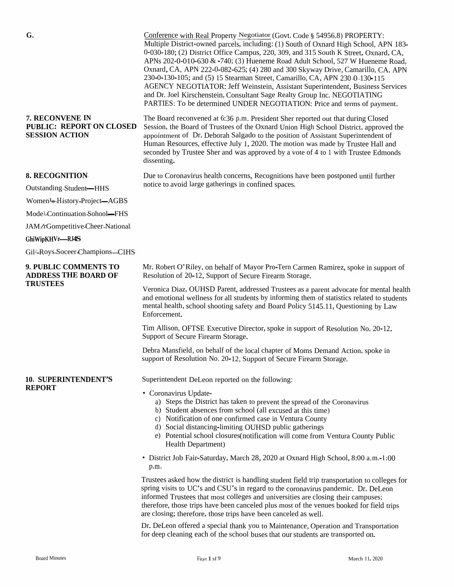| G.                                                                          | Conference with Real Property Negotiator (Govt. Code § 54956.8) PROPERTY:<br>Multiple District-owned parcels, including: (1) South of Oxnard High School, APN 183-<br>0-030-180; (2) District Office Campus, 220, 309, and 315 South K Street, Oxnard, CA,<br>APNs 202-0-010-630 & -740; (3) Hueneme Road Adult School, 527 W Hueneme Road,<br>Oxnard, CA, APN 222-0-082-625; (4) 280 and 300 Skyway Drive, Camarillo, CA, APN<br>230-0-130-105; and (5) 15 Stearman Street, Camarillo, CA, APN 230 0 130-115<br><b>AGENCY NEGOTIATOR: Jeff Weinstein, Assistant Superintendent, Business Services</b><br>and Dr. Joel Kirschenstein, Consultant Sage Realty Group Inc. NEGOTIATING<br>PARTIES: To be determined UNDER NEGOTIATION: Price and terms of payment. |
|-----------------------------------------------------------------------------|-----------------------------------------------------------------------------------------------------------------------------------------------------------------------------------------------------------------------------------------------------------------------------------------------------------------------------------------------------------------------------------------------------------------------------------------------------------------------------------------------------------------------------------------------------------------------------------------------------------------------------------------------------------------------------------------------------------------------------------------------------------------|
| 7. RECONVENE IN<br><b>PUBLIC: REPORT ON CLOSED</b><br><b>SESSION ACTION</b> | The Board reconvened at 6:36 p.m. President Sher reported out that during Closed<br>Session, the Board of Trustees of the Oxnard Union High School District, approved the<br>appointment of Dr. Deborah Salgado to the position of Assistant Superintendent of<br>Human Resources, effective July 1, 2020. The motion was made by Trustee Hall and<br>seconded by Trustee Sher and was approved by a vote of 4 to 1 with Trustee Edmonds<br>dissenting.                                                                                                                                                                                                                                                                                                         |
| <b>8. RECOGNITION</b>                                                       | Due to Coronavirus health concerns, Recognitions have been postponed until further<br>notice to avoid large gatherings in confined spaces.                                                                                                                                                                                                                                                                                                                                                                                                                                                                                                                                                                                                                      |
| Outstanding-Student-HHS                                                     |                                                                                                                                                                                                                                                                                                                                                                                                                                                                                                                                                                                                                                                                                                                                                                 |
| Women <sup>1</sup> *-History-Project-AGBS                                   |                                                                                                                                                                                                                                                                                                                                                                                                                                                                                                                                                                                                                                                                                                                                                                 |
| Mode)-Continuation-Sohool-FHS                                               |                                                                                                                                                                                                                                                                                                                                                                                                                                                                                                                                                                                                                                                                                                                                                                 |
| JAM/rGompetitive-Cheer-National                                             |                                                                                                                                                                                                                                                                                                                                                                                                                                                                                                                                                                                                                                                                                                                                                                 |
| GhiWipKHVr-RJ4S                                                             |                                                                                                                                                                                                                                                                                                                                                                                                                                                                                                                                                                                                                                                                                                                                                                 |
| Gil-Roys-Soceer-Champions-C1HS                                              |                                                                                                                                                                                                                                                                                                                                                                                                                                                                                                                                                                                                                                                                                                                                                                 |
| 9. PUBLIC COMMENTS TO<br><b>ADDRESS THE BOARD OF</b><br><b>TRUSTEES</b>     | Mr. Robert O'Riley, on behalf of Mayor Pro-Tern Carmen Ramirez, spoke in support of<br>Resolution of 20-12, Support of Secure Firearm Storage.                                                                                                                                                                                                                                                                                                                                                                                                                                                                                                                                                                                                                  |
|                                                                             | Veronica Diaz, OUHSD Parent, addressed Trustees as a parent advocate for mental health<br>and emotional wellness for all students by informing them of statistics related to students<br>mental health, school shooting safety and Board Policy 5145.11, Questioning by Law<br>Enforcement.                                                                                                                                                                                                                                                                                                                                                                                                                                                                     |
|                                                                             | Tim Allison, OFTSE Executive Director, spoke in support of Resolution No. 20-12,<br>Support of Secure Firearm Storage.                                                                                                                                                                                                                                                                                                                                                                                                                                                                                                                                                                                                                                          |
|                                                                             | Debra Mansfield, on behalf of the local chapter of Moms Demand Action, spoke in<br>support of Resolution No. 20-12, Support of Secure Firearm Storage.                                                                                                                                                                                                                                                                                                                                                                                                                                                                                                                                                                                                          |
| <b>10. SUPERINTENDENT'S</b><br><b>REPORT</b>                                | Superintendent DeLeon reported on the following:                                                                                                                                                                                                                                                                                                                                                                                                                                                                                                                                                                                                                                                                                                                |
|                                                                             | • Coronavirus Update-<br>a) Steps the District has taken to prevent the spread of the Coronavirus<br>b) Student absences from school (all excused at this time)<br>c) Notification of one confirmed case in Ventura County<br>d) Social distancing-limiting OUHSD public gatherings<br>e) Potential school closures (notification will come from Ventura County Public<br>Health Department)                                                                                                                                                                                                                                                                                                                                                                    |
|                                                                             | · District Job Fair-Saturday, March 28, 2020 at Oxnard High School, 8:00 a.m.-1:00<br>p.m.                                                                                                                                                                                                                                                                                                                                                                                                                                                                                                                                                                                                                                                                      |
|                                                                             | Trustees asked how the district is handling student field trip transportation to colleges for<br>spring visits to UC's and CSU's in regard to the coronavirus pandemic. Dr. DeLeon<br>informed Trustees that most colleges and universities are closing their campuses;<br>therefore, those trips have been canceled plus most of the venues booked for field trips<br>are closing; therefore, those trips have been canceled as well.                                                                                                                                                                                                                                                                                                                          |
|                                                                             | Dr. DeLeon offered a special thank you to Maintenance, Operation and Transportation<br>for deep cleaning each of the school buses that our students are transported on.                                                                                                                                                                                                                                                                                                                                                                                                                                                                                                                                                                                         |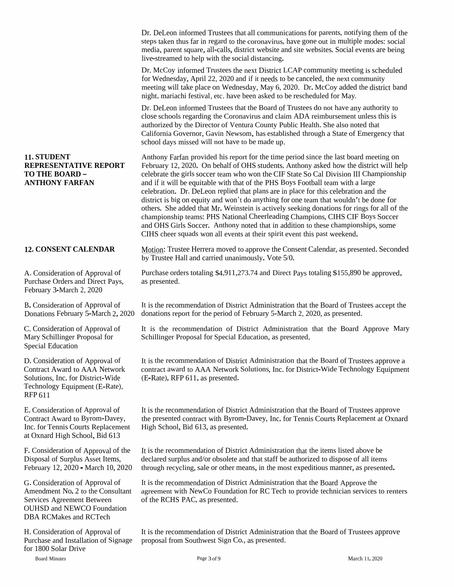Dr. DeLeon informed Trustees that all communications for parents, notifying them of the steps taken thus far in regar<sup>d</sup> to the coronavirus, have gone out in multiple modes: social media, paren<sup>t</sup> square, all-calls, district website and site websites. Social events are being live-streamed to help with the social distancing.

Dr. McCoy informed Trustees the next District LCAP community meeting is scheduled for Wednesday, April 22, 2020 and if it needs to be canceled, the next community meeting will take place on Wednesday, May 6, 2020. Dr. McCoy added the district band night, mariachi festival, etc. have been asked to be rescheduled for May.

Dr. DeLeon informed Trustees that the Board of Trustees do not have any authority to close schools regarding the Coronavirus and claim ADA reimbursement unless this is authorized by the Director of Ventura County Public Health. She also noted that California Governor, Gavin Newsom, has established through <sup>a</sup> State of Emergency that school days missed will not have to be made up.

Anthony Farfan provided his repor<sup>t</sup> for the time period since the last board meeting on February 12, 2020. On behalf of OHS students, Anthony asked how the district will help celebrate the <sup>g</sup>irls soccer team who won the CIF State So Cal Division III Championship and if it will be equitable with that of the PHS Boys Football team with <sup>a</sup> large celebration. Dr. DeLeon replied that <sup>p</sup>lans are in <sup>p</sup>lace for this celebration and the district is big on equity and won't do anything for one team that wouldn't be done for others. She added that Mr. Weinstein is actively seeking donations for rings for all of the championship teams: PHS National Cheerleading Champions, CIHS CIF Boys Soccer and OHS Girls Soccer. Anthony noted that in addition to these championships, some CIHS cheer squads won all events at their spirit event this pas<sup>t</sup> weekend.

Motion: Trustee Herrera moved to approve the Consent Calendar, as presented. Seconded by Trustee Hall and carried unanimously. Vote 5/0.

Purchase orders totaling \$4,911,273.74 and Direct Pays totaling \$155,890 be approved,

It is the recommendation of District Administration that the Board of Trustees accep<sup>t</sup> the donations repor<sup>t</sup> for the period of February 5-March 2, 2020, as presented.

It is the recommendation of District Administration that the Board Approve Mary Schillinger Proposal for Special Education, as presented.

It is the recommendation of District Administration that the Board of Trustees approve <sup>a</sup> contract award to AAA Network Solutions, Inc. for District-Wide Technology Equipment (E-Rate), RFP 611, as presented.

It is the recommendation of District Administration that the Board of Trustees approve the presented contract with Byrom-Davey, Inc. for Tennis Courts Replacement at Oxnard High School, Bid 613, as presented.

It is the recommendation of District Administration that the items listed above be declared surplus and/or obsolete and that staff be authorized to dispose of all items through recycling, sale or other means, in the most expeditious manner, as presented.

It is the recommendation of District Administration that the Board Approve the agreemen<sup>t</sup> with NewCo Foundation for RC Tech to provide technician services to renters

It is the recommendation of District Administration that the Board of Trustees approve proposa<sup>l</sup> from Southwest Sign Co., as presented.

# 11. STUDENT<br>
REPRESENTATIVE REPORT<br>
TO THE BOARD –<br>
ANTHONY FARFAN<br>
and if it will<br>
celebration.<br>
district is big<br>
district is big<br>
others. She<br>
championshi<br>
and OHS Gin<br>
CIHS cheer :<br>
12. CONSENT CALENDAR<br>
Motion: Trus<br>
b

February 3-March 2, 2020

B. Consideration of Approval of Donations February 5-March 2, 2020

C.Consideration of Approval of Mary Schillinger Proposal for Special Education

D. Consideration of Approval of Contract Award to AAA Network Solutions, Inc. for District-Wide Technology Equipment (E-Rate), RFP 611

E. Consideration of Approval of Contract Award to Byrom-Davey, Inc. for Tennis Courts Replacement at Oxnard High School, Bid 613

F. Consideration of Approval of the Disposal of Surplus Asset Items, February 12, 2020 - March 10, 2020

G. Consideration of Approval of It is the recommendation of Distr<br>Amendment No. 2 to the Consultant agreement with NewCo Foundation<br>Services Agreement Between of the RCHS PAC, as presented. OUHSD and NEWCO Foundation DBA RCMakes and RCTech

H. Consideration of Approval of Purchase and Installation of Signage for 1800 Solar Drive

Board Minutes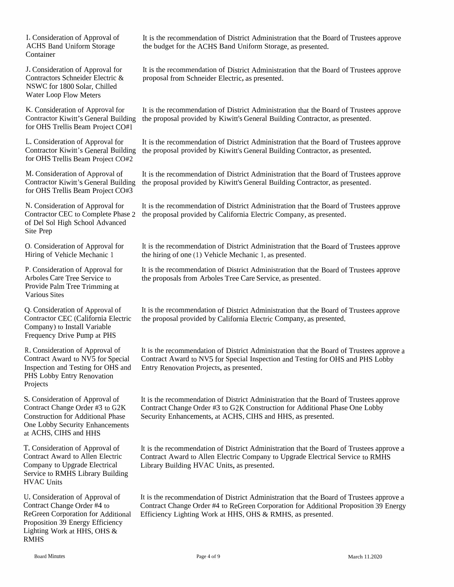I. Consideration of Approval of ACHS Band Uniform Storage<br>Container Container

J. Consideration of Approval for Contractors Schneider Electric &Contractors Schneider Electric & proposal from Schneider Electric, as presented.<br>NSWC for 1800 Solar, Chilled NSWC for 1800 Solar, Chilled Water Loop Flow Meters

K. ConsiderationContractor Kiwitt's General BuildingOHS Trellis Beam Project CO#l

L. ConsiderationContractor Kiwitt's General BuildingOHS Trellis Beam Project CO#2

M. ConsiderationContractor Kiwitt's General BuildingOHS Trellis Beam Project CO#3

N. ConsiderationContractor CECf Del Sol High School Advanced<br>ita Pran Site Prep

O. Consideration of Approval for Hiring of Vehicle Mechanic <sup>1</sup>

P. Consideration of Approval for Arboles Care Tree Service to Provide Palm Tree Trimming at<br>Various Sites Various Sites

Q. Consideration of Approval of<br>Contractor CEC (Colifornia Elas Contractor CEC (California Electric Company) to Install Variable<br>Frequency Drive Dump + DU Frequency Drive Pump at PHS

R. Consideration of Approval of<br>Contract Arrest to NV5 for Space Contract Award to NV5 for Special<br>Increasing and Testing for OUS and Inspection and Testing for OHS and<br>PHS Lobby Entry Penevation PHS Lobby Entry Renovation<br>Projects Projects

S. Consideration of Approval of<br>Contrast Change Order #2 to CO Contract Change Order #3 to G2K Construction for Additional Phase One Lobby Security Enhancements at ACHS, CIHS and HHS

T. Consideration of Approval of Contract Award to Allen Electric<br>Converges to Unamela Electrical Company to Upgrade Electrical<br>Service to PMUS Library Puils Service to RMHS Library Building<br>HVAC Unite HVAC Units

U. Consideration of Approval of<br>Contract Change Order #4 to Contract Change Order #4 to<br>BeCreen Corporation for Ad ReGreen Corporation for Additional<br>Preposition 20 Energy Efficiency Proposition 39 Energy Efficiency<br>Lisking Wark at UUS OUS & Lighting Work at HHS, OHS &RMHS

It is the recommendation of District Administration that the Board of Trustees approve<br>the hydrot for the ACUS Bond Uniform Storage as presented the budget for the ACHS Band Uniform Storage, as presented.

n of Approval for It is the recommendation of District Administration that the Board of Trustees approve

n of Approval for It is the recommendation of District Administration that the Board of Trustees approve<br>it's Consul Puilding, the recognes required by Kinjit's Consul Puilding Contractor, as recognized Contractor Kiwitt's General Building – the proposal provided by Kiwitt's General Building Contractor, as presented.<br>for OHS Trellis Beam Proiect CO#1

n of Approval for It is the recommendation of District Administration that the Board of Trustees approve<br>it is Cancel Building, the recognes provided by Kinjittle Cancel Building Contractor, as approximately Contractor Kiwitt's General Building – the proposal provided by Kiwitt's General Building Contractor, as presented.<br>for OHS Trellis Beam Proiect CO#2

n of Approval of It is the recommendation of District Administration that the Board of Trustees approve<br>the Concret Building the proposed provided by Kinjith's Concret Building Centre the secondary of Contractor Kiwitt's General Building – the proposal provided by Kiwitt's General Building Contractor, as presented.<br>for OHS Trellis Beam Proiect CO#3

> n of Approval for It is the recommendation of District Administration that the Board of Trustees approve the proposal provided by California Electric Company, as presented.

> > It is the recommendation of District Administration that the Board of Trustees approve<br>the hiring of ane (1) Vehicle Machania 1, as researted the hiring of one (1) Vehicle Mechanic 1, as presented.

> > It is the recommendation of District Administration that the Board of Trustees approve<br>the proposals from Arbeles Tree Care Service, as are earted the proposals from Arboles Tree Care Service, as presented.

> > It is the recommendation of District Administration that the Board of Trustees approve<br>the grapesed gravided by Celifornia Flastiic Company as approached the proposa<sup>l</sup> provided by California Electric Company, as presented.

It is the recommendation of District Administration that the Board of Trustees approve a<br>Contract Award to NV5 for Special Increasing and Trating for OUS and DUS Laboratory Contract Award to NV5 for Special Inspection and Testing for OHS and PHS Lobby Entry Renovation Projects, as presented.

It is the recommendation of District Administration that the Board of Trustees approve<br>Contract Change Order #3 to CaV Construction for Additional Phase One Labby Contract Change Order #3 to G2K Construction for Additional Phase One Lobby Security Enhancements, at ACHS, CIHS and HHS, as presented.

It is the recommendation of District Administration that the Board of Trustees approve a<br>Contract Award to Allan Flactuic Commence to Hagrade Flactuical Semice to PMHS Contract Award to Allen Electric Company to Upgrade Electrical Service to RMHS<br>Library Building HVAC Haits, as researted Library Building HVAC Units, as presented.

It is the recommendation of District Administration that the Board of Trustees approve a<br>Contract Change Order #4 to BeCreen Gameratian for Additional Departition 20 Factors Contract Change Order #4 to ReGreen Corporation for Additional Proposition <sup>39</sup> EnergyEfficiency Lighting Work at HHS, OHS & RMHS, as presented.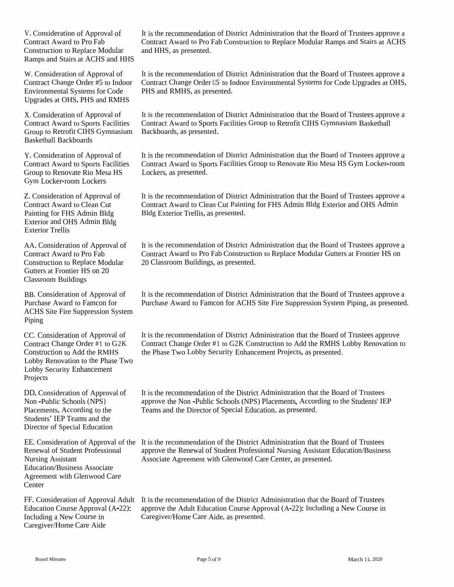V. Consideration of Approval of Contract Award to Pro Fab Construction to Replace Modular Ramps and Stairs at ACHS and HHS

Environmental Systems for Code PHS and RMHS, as presented. Upgrades at OHS, PHS and RMHS

Group to Retrofit CIHS Gymnasium Basketball Backboards

Y. Consideration of Approval of Contract Award to Sports Facilities Group to Renovate Rio Mesa HS Gym Locker-room Lockers

Z. Consideration of Approval of Contract Award to Clean Cut Painting for FHS Admin Bldg Exterior and OHS Admin Bldg Exterior Trellis

AA. Consideration of Approval of Contract Award to Pro Fab Construction to Replace Modular Gutters at Frontier HS on 20 Classroom Buildings

BB. Consideration of Approval of Purchase Award to Famcon for ACHS Site Fire Suppression System Piping

CC. Consideration of Approval of Contract Change Order #1 to G2K Construction to Add the RMHS Lobby Renovation to the Phase Two Lobby Security Enhancement Projects

DD.Consideration of Approval of Non -Public Schools (NPS) Placements, According to the Students' IEP Teams and the Director of Special Education

Renewal of Student Professional Nursing Assistant Education/Business Associate Agreement with Glenwood Care **Center** 

Caregiver/Home Care Aide

It is the recommendation of District Administration that the Board of Trustees approve <sup>a</sup> Contract Award to Pro Fab Construction to Replace Modular Ramps and Stairs at ACHS and HHS, as presented.

W. Consideration of Approval of It is the recommendation of District Administration that the Board of Trustees approve a Contract Change Order #5 to Indoor Contract Change Order *U5* to Indoor Environmental Systems for Code Upgrades at OHS,

X. Consideration of Approval of It is the recommendation of District Administration that the Board of Trustees approve a Contract Award to Sports Facilities Contract Award to Sports Facilities Group to Retrofit CIHS Gymnasium Basketball

> It is the recommendation of District Administration that the Board of Trustees approve <sup>a</sup> Contract Award to Sports Facilities Group to Renovate Rio Mesa HS Gym Locker-room Lockers, as presented.

> It is the recommendation of District Administration that the Board of Trustees approve <sup>a</sup> Contract Award to Clean Cut Painting for FHS Admin Bldg Exterior and OHS Admin Bldg Exterior Trellis, as presented.

> It is the recommendation of District Administration that the Board of Trustees approve <sup>a</sup> Contract Award to Pro Fab Construction to Replace Modular Gutters at Frontier HS on <sup>20</sup> Classroom Buildings, as presented.

It is the recommendation of District Administration that the Board of Trustees approve <sup>a</sup> Purchase Award to Famcon for ACHS Site Fire Suppression System Piping, as presented.

It is the recommendation of District Administration that the Board of Trustees approve Contract Change Order #1 to G2K Construction to Add the RMHS Lobby Renovation to the Phase Two Lobby Security Enhancement Projects, as presented.

It is the recommendation of the District Administration that the Board of Trustees approve the Non -Public Schools (NPS) Placements, According to the Students' IEP Teams and the Director of Special Education, as presented.

EE. Consideration of Approval of the It is the recommendation of the District Administration that the Board of Trustees approve the Renewal of Student Professional Nursing Assistant Education/Business Associate Agreement with Glenwood Care Center, as presented.

FF. Consideration of Approval Adult It is the recommendation of the District Administration that the Board of Trustees Education Course Approval (A-22): approve the Adult Education Course Approval (A-22): Including <sup>a</sup> New Course in Including <sup>a</sup> New Course in Caregiver/Home Care Aide, as presented.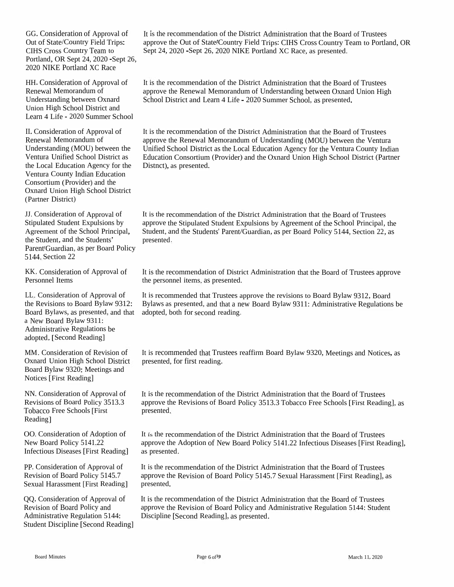GG. Consideration of Approval of Out of State/Country Field Trips:<br>CUIS Cases Country Team to CIHS Cross Country Team<br>Registered OB Sept 24, 2020 CIHS Cross Country Team to<br>Portland, OR Sept 24, 2020 -Sept 26,<br>2020 NIKE Portland XC Race 2020 NIKE Portland XC Race

HH.Consideration of Approval of Renewal MemorandumRenewal Memorandum of<br>Understanding between Oxnard<br>Union High Sabaal District and Union High School District and<br>Learn 4.1 if a 2000 Summar Se Learn 4 Life - <sup>2020</sup> Summer School

II. Consideration of Approval of Renewal MemorandumRenewal Memorandum of approve<br>
Understanding (MOU) between the Unified<br>
Vanture Unified Sakaal District as Februari Ventura Unified School District as Education<br>the Local Education Agency for the Pictual the Local Educationthe Local Education Agency for the Distnct), as presented.<br>Ventura County Indian Education<br>Consentium (Dravidar) and the Consortium (Provider) and the (Provider) and the Oxnard Union High School District (Partner District)

JJ. Consideration of Approval of Stipulated Student Expulsions by Agreement of the School Principal, the Student, and the Students'<br>Persytichness as not Beam Parent Guardian, as per Board Policy<br>**5144** Sastian 22 5144, Section <sup>22</sup>

KK, Consideration of Approval of<br>Personnel Itams Personnel Items

LL. Considerationthe Revisions to Board Bylaw Board Bylaws, as presented, and that adopted, both for second<br>a Navy Board Bylaw 0211. a New Board Bylaw 9311: a New Board Bylaw 9311:<br>Administrative Regulations be adopted,[Second Reading]

MM. Consideration of Revision **Oxnard Union High School District** Oxnard Union High School District presented, for first reading.<br>Board Bylaw 9320: Meetings and<br>Notices [First Reading] Notices [First Reading]

NN. Consideration of Approval of Revisions of Board Policy 3513.3<br>Tehnore Free Schools (First Tobacco Free Schools [First Reading]

OO. Consideration of Adoption of New Board Policy 5141.22 New Board Policy 5141.22<br>Infectious Diseases [First Reading]

PP. Consideration of Approval of Revision of Board Policy 5145.7 Sexual Harassment [First Reading]

QQ. Consideration of Approval of Revision of Board Policy and<br>Administrative Peculation 51 Administrative Regulation 5144: Student Discipline [Second Reading] It is the recommendation of the District Administration that the Board of Trustees approve the Out of State!Country Field Trips: CIHS Cross Country Team to Portland, OR<br>Sept 24, 2020 -Sept 26, 2020 NIKE Portland XC Race, as presented. Sept 24, <sup>2020</sup> -Sept 26, <sup>2020</sup> NIKE Portland XC Race, as presented.

It is the recommendation of the District Administration that the Board of Trustees approve the Renewal Memorandum of Understanding between Oxnard Union High<br>School District and Learn 4 Life - 2020 Summer School, as presented. School District and Learn <sup>4</sup> Life - <sup>2020</sup> Summer School, as presented.

It is the recommendation of the District Administration that the Board of Trustees approve the Renewal Memorandum of Understanding (MOU) between the Ventura<br>Unified School District as the Local Education Agency for the Ventura County Indi d School District as the Local Education Agency for the Ventura County Indian<br>tion Consentium (Davidse) and the Ounced Union With School District (Dataset Consortium (Provider) and the Oxnard Union High School District (Partner

It is the recommendation of the District Administration that the Board of Trustees approve the Stipulated Student Expulsions by Agreement of the School Principal, the<br>Student and the Students' Depart Cuantier, as non-David Dalian 5144, S. C. 22, 22, Student, and the Students' Parent/Guardian, as per Board Policy 5144, Section 22, as presented.

It is the recommendation of District Administration that the Board of Trustees approve<br>the negational items as presented the personne<sup>l</sup> items, as presented.

n of Approval of It is recommended that Trustees approve the revisions to Board Bylaw<br>Reard Bylaw 0212: Bylaws as researted and that a naw Baard Bylaw 0211: Administrative w 9312, Board<br>ive Regulation w 9312: Bylaws as presented, and that a new Board Bylaw 9311: Administrative Regulations be and that adopted, both for second reading. adopted, both for second reading.

n of It is recommended that Trustees reaffirm Board Bylaw 9320, Meetings and Notices, as strict presented, for first reading.

It is the recommendation of the District Administration that the Board of Trustees approve the Revisions of Board Policy 3513.3 Tobacco Free Schools [First Reading], as presented.

It is the recommendation of the District Administration that the Board of Trustees approve the Adoption of New Board Policy 5141.22 Infectious Diseases [First Reading],<br>as presented. as presented.

It is the recommendation of the District Administration that the Board of Trustees approve the Revision of Board Policy 5145.7 Sexual Harassment [First Reading], as presented.

It is the recommendation of the District Administration that the Board of Trustees approve the Revision of Board Policy and Administrative Regulation 5144: Student<br>Discipling [Second Regular], as greented Discipline [Second Reading], as presented.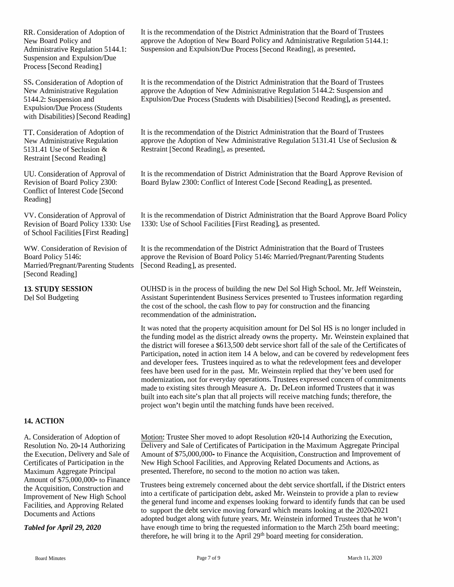Suspension and Expulsion/Due Process [Second Reading]

Expulsion/Due Process (Students with Disabilities) [Second Reading]

Restraint [Second Reading]

Conflict of Interest Code [Second Reading]

VV. Consideration of Approval of Revision of Board Policy 1330: Use of School Facilities[First Reading]

Board Policy 5146: Married/Pregnant/Parenting Students [Second Reading], as presented. [Second Reading]

### **14. ACTION**

A. Consideration of Adoption of Resolution No. 20-14 Authorizing Amount of \$75,000,000- to Finance the Acquisition, Construction and Improvement of New High School Facilities, and Approving Related Documents and Actions

It is the recommendation of the District Administration that the Board of Trustees RR. Consideration of Adoption of It is the recommendation of the District Administration that the Board of Trustees<br>New Board Policy and approve the Adoption of New Board Policy and Administrative Regulation 5144.1:<br>Admini

It is the recommendation of the District Administration that the Board of Trustees approve the Adoption of New Administrative Regulation 5144.2: Suspension and SS. Consideration of Adoption of It is the recommendation of the District Administration that the Board of Trustees<br>New Administrative Regulation and Expulsion/Due Process (Students with Disabilities) [Second Reading], as

It is the recommendation of the District Administration that the Board of Trustees approve the Adoption of New Administrative Regulation 5131.41 Use of Seclusion  $\&$ TT. Consideration of Adoption of It is the recommendation of the District Advew Administrative Regulation approve the Adoption of New Administrat 5131.41 Use of Seclusion & Restraint [Second Reading], as presented.

It is the recommendation of District Administration that the Board Approve Revision of UU. Consideration of Approval of It is the recommendation of District Administration that the Board Approve Revision of Board Policy 2300: Board Bylaw 2300: Conflict of Interest Code [Second Reading], as presented.

> It is the recommendation of District Administration that the Board Approve Board Policy 1330: Use of School Facilities [First Reading], as presented.

WW. Consideration of Revision of It is the recommendation of the District Administration that the Board of Trustees approve the Revision of Board Policy 5146: Married/Pregnant/Parenting Students

> OUHSD is in the process of building the new Del Sol High School. Mr.Jeff Weinstein, Assistant Superintendent Business Services presented to Trustees information regarding the cost of the school, the cash flow to pay for construction and the financing recommendation of the administration.

It was noted that the property acquisition amount for Del Sol HS is no longer included in the funding model as the district already owns the property. Mr. Weinstein explained that the district will foresee <sup>a</sup> \$613,500 debt service short fall of the sale of the Certificates of Participation, noted in action item <sup>14</sup> <sup>A</sup> below, and can be covered by redevelopment fees and developer fees. Trustees inquired as to what the redevelopment fees and developer fees have been used for in the past. Mr. Weinstein replied that they've been used for modernization, not for everyday operations. Trustees expresse<sup>d</sup> concern of commitments made to existing sites through Measure A. Dr. DeLeon informed Trustees that it was built into each site's <sup>p</sup>lan that all projects will receive matching funds; therefore, the **13. STUDY SESSION** OUHSD is in the process of building the new Del Sol High Scho<br>
Del Sol Budgeting Assistant Superintendent Business Services presented to Trustees<br>
the cost of the school, the cash flow to pay for constr

Motion: Trustee Sher moved to adopt Resolution #20-14 Authorizing the Execution, Delivery and Sale of Certificates of Participation in the Maximum Aggregate Principal the Execution, Delivery and Sale of Amount of \$75,000,000- to Finance the Acquisition, Construction and Improvement of New High School Facilities, and Approving Related Documents and Actions, as presented.Therefore, no second to the motion no action was taken. Certificates of Participation in the Maximum Aggregate Principal

Trustees being extremely concerned about the debt service shortfall, if the District enters into <sup>a</sup> certificate of participation debt, asked Mr. Weinstein to provide <sup>a</sup> <sup>p</sup>lan to review the genera<sup>l</sup> fund income and expenses looking forward to identify funds that can be used to suppor<sup>t</sup> the debt service moving forward which means looking at the 2020-2021 adopted budget along with future years. Mr. Weinstein informed Trustees that he won't have enoug<sup>h</sup> time to bring the requested information to the March 25th board meeting; Tabled for April 29, 2020 have enough time to bring the requested information to the March 25th boath therefore, he will bring it to the April 29<sup>th</sup> board meeting for consideration.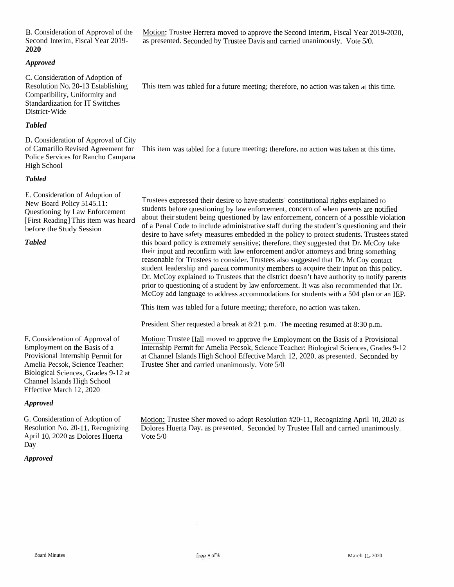F. Consideration of Approval of Employment on the Basis of a<br>Provisional Internship Demait Provisional Internship Permit for Amelia Pecsok, Science Teacher: Biological Sciences, Grades 9-12 at Channel Islands High School Effective March 12, <sup>2020</sup>

### *Approved*

*Tabled*

G. Consideration of Adoption of Resolution No. 20-11, Recognizing<br>April 10, 2020 as Dalama Unarta April 10, <sup>2020</sup> as Dolores Huerta Day

# *Approved*

E. Consideration of Adoption of New Board Policy 5145.11: New Board Policy 5145.11:<br>Questioning by Law Enforc Questioning by Law Enforcement<br>[First Reading] This item was heard<br>before the Study Session before the Study Session

e Services for Rancho Campana High School *Tabled*

District-Wide*Tabled*D. Consideration of Approval of City of Camarillo Revised Agreement for This item

C. Consideration of Adoption of<br>Pessivian Na. 20.12 Establishis

B. Consideration of Approval of the<br>Second Interim Fiscal Year 2010 Second Interim, Fiscal Year 2019- **<sup>2020</sup>**

*Approved*

Resolution No. 20-13 EstablishingCompatibility, Uniformity and<br>Standardization for IT Smitche Standardization for IT Switches<br>District-Wide

This item was tabled for a future meeting; therefore, no action was taken at this time.

Trustees expresse<sup>d</sup> their desire to have students' constitutional rights explained tostudents before questioning by law enforcement, concern of when parents are not<br>short their student heirs questioned by law enforcement, concern of a vessible students before questioning by law enforcement, concern of when parents are notified<br>about their student being questioned by law enforcement, concern of a possible violation<br>of a Paral Cada to include edministering at<br>of t about their student being questioned by law enforcement, concern of a possible violation<br>of a Penal Code to include administrative staff during the student's questioning and their<br>degine to have affety magaying ambadded in desire to have safety measures embedded in the policy to protect students. Trustees stated<br>this hand policy is autremaly experimental thanks that we measured that Dr. McCan take this board policy is extremely sensitive; therefore, they suggested that Dr. McCoy take their input and reconfirm their input and reconfirm with law enforcement and/or attorneys and bring something<br>reasonable for Trustees to consider. Trustees also suggested that Dr. McCoy contact<br>student leadership and account community mambage to co student leadership and parent community members to<br>Dr. McCov cynleined to Trustees that the district does student leadership and parent community members to acquire their input on this policy.<br>Dr. McCoy explained to Trustees that the district doesn't have authority to notify parents<br>night to questioning of a student by law or<br> prior to questioning of a student by law prior to questioning of a student by law enforcement. It was also recommended that Dr.<br>McCoy add language to address accommodations for students with a 504 plan or an IEP.

This item was tabled for <sup>a</sup> future meeting; therefore, no action was taken.

President Sher requested <sup>a</sup> break at 8:21 p.m. The meeting resumed at 8:30 p.m.

Motion: Trustee Hall moved to approve the Employment on the Basis of a Provisional<br>Internation Bermit for Amelia Bassal: Science Teacher: Biological Sciences, Grades 0. Internship Permit for Amelia Pecsok, Science Teacher: Biological Sciences, Grades 9-12at Channel Islands High School Effective March 12, 2020, as presented. Seconded by<br>Trustee Sher and carried unanimevaly, Meta 5.0 Trustee Sher and carried unanimously. Vote 5/0

Motion: Trustee Sher moved to adopt Resolution #20-11, Recognizing April 10, 2020 as<br>Delares Huerte Day, as presented. Seconded by Trustee Hell and agrical unanimously. Dolores Huerta Day, as presented. Seconded by Trustee Hall and carried unanimously.<br>Vote 5/0 Vote 5/0

Motion: Trustee Herrera moved to approve the Second Interim, Fiscal Year 2019-2020, as presented. Seconded by Trustee Davis and carried unanimously. Vote 5/0.

This item was tabled for <sup>a</sup> future meeting; therefore, no action was taken at this time.